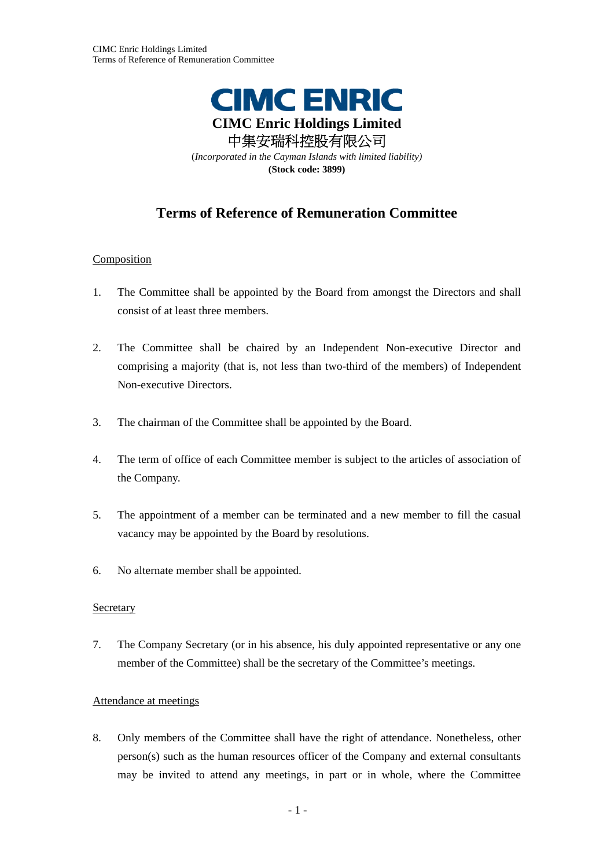

# **Terms of Reference of Remuneration Committee**

# **Composition**

- 1. The Committee shall be appointed by the Board from amongst the Directors and shall consist of at least three members.
- 2. The Committee shall be chaired by an Independent Non-executive Director and comprising a majority (that is, not less than two-third of the members) of Independent Non-executive Directors.
- 3. The chairman of the Committee shall be appointed by the Board.
- 4. The term of office of each Committee member is subject to the articles of association of the Company.
- 5. The appointment of a member can be terminated and a new member to fill the casual vacancy may be appointed by the Board by resolutions.
- 6. No alternate member shall be appointed.

#### Secretary

7. The Company Secretary (or in his absence, his duly appointed representative or any one member of the Committee) shall be the secretary of the Committee's meetings.

#### Attendance at meetings

8. Only members of the Committee shall have the right of attendance. Nonetheless, other person(s) such as the human resources officer of the Company and external consultants may be invited to attend any meetings, in part or in whole, where the Committee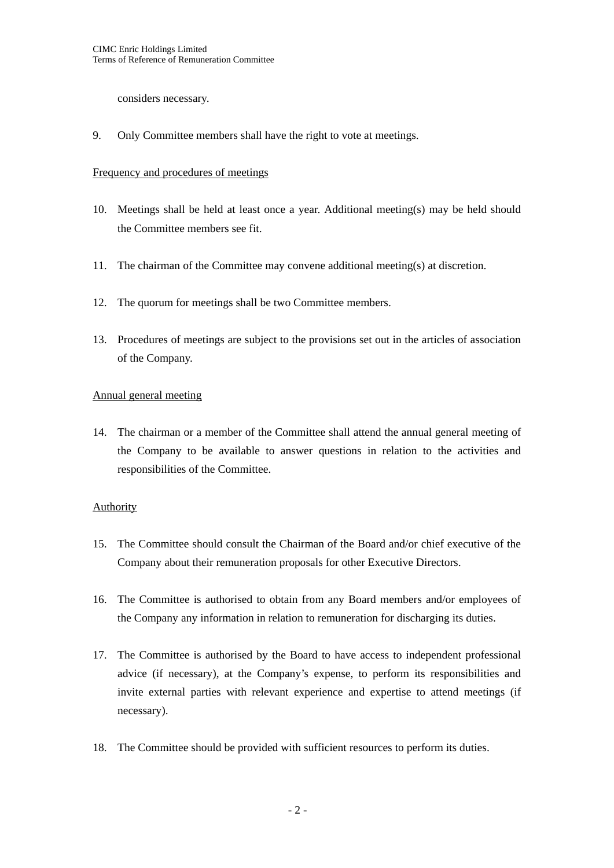considers necessary.

9. Only Committee members shall have the right to vote at meetings.

#### Frequency and procedures of meetings

- 10. Meetings shall be held at least once a year. Additional meeting(s) may be held should the Committee members see fit.
- 11. The chairman of the Committee may convene additional meeting(s) at discretion.
- 12. The quorum for meetings shall be two Committee members.
- 13. Procedures of meetings are subject to the provisions set out in the articles of association of the Company.

# Annual general meeting

14. The chairman or a member of the Committee shall attend the annual general meeting of the Company to be available to answer questions in relation to the activities and responsibilities of the Committee.

#### Authority

- 15. The Committee should consult the Chairman of the Board and/or chief executive of the Company about their remuneration proposals for other Executive Directors.
- 16. The Committee is authorised to obtain from any Board members and/or employees of the Company any information in relation to remuneration for discharging its duties.
- 17. The Committee is authorised by the Board to have access to independent professional advice (if necessary), at the Company's expense, to perform its responsibilities and invite external parties with relevant experience and expertise to attend meetings (if necessary).
- 18. The Committee should be provided with sufficient resources to perform its duties.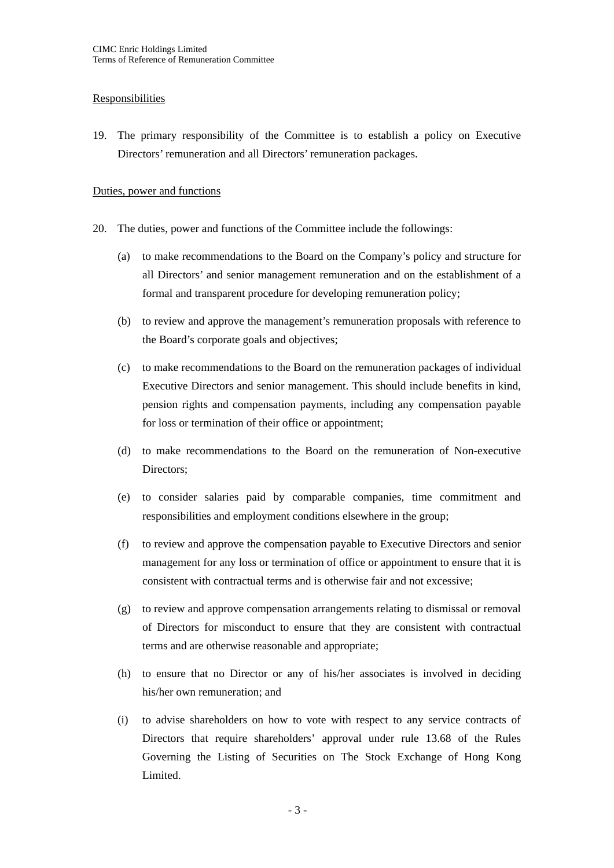# Responsibilities

19. The primary responsibility of the Committee is to establish a policy on Executive Directors' remuneration and all Directors' remuneration packages.

## Duties, power and functions

- 20. The duties, power and functions of the Committee include the followings:
	- (a) to make recommendations to the Board on the Company's policy and structure for all Directors' and senior management remuneration and on the establishment of a formal and transparent procedure for developing remuneration policy;
	- (b) to review and approve the management's remuneration proposals with reference to the Board's corporate goals and objectives;
	- (c) to make recommendations to the Board on the remuneration packages of individual Executive Directors and senior management. This should include benefits in kind, pension rights and compensation payments, including any compensation payable for loss or termination of their office or appointment;
	- (d) to make recommendations to the Board on the remuneration of Non-executive Directors;
	- (e) to consider salaries paid by comparable companies, time commitment and responsibilities and employment conditions elsewhere in the group;
	- (f) to review and approve the compensation payable to Executive Directors and senior management for any loss or termination of office or appointment to ensure that it is consistent with contractual terms and is otherwise fair and not excessive;
	- (g) to review and approve compensation arrangements relating to dismissal or removal of Directors for misconduct to ensure that they are consistent with contractual terms and are otherwise reasonable and appropriate;
	- (h) to ensure that no Director or any of his/her associates is involved in deciding his/her own remuneration; and
	- (i) to advise shareholders on how to vote with respect to any service contracts of Directors that require shareholders' approval under rule 13.68 of the Rules Governing the Listing of Securities on The Stock Exchange of Hong Kong Limited.